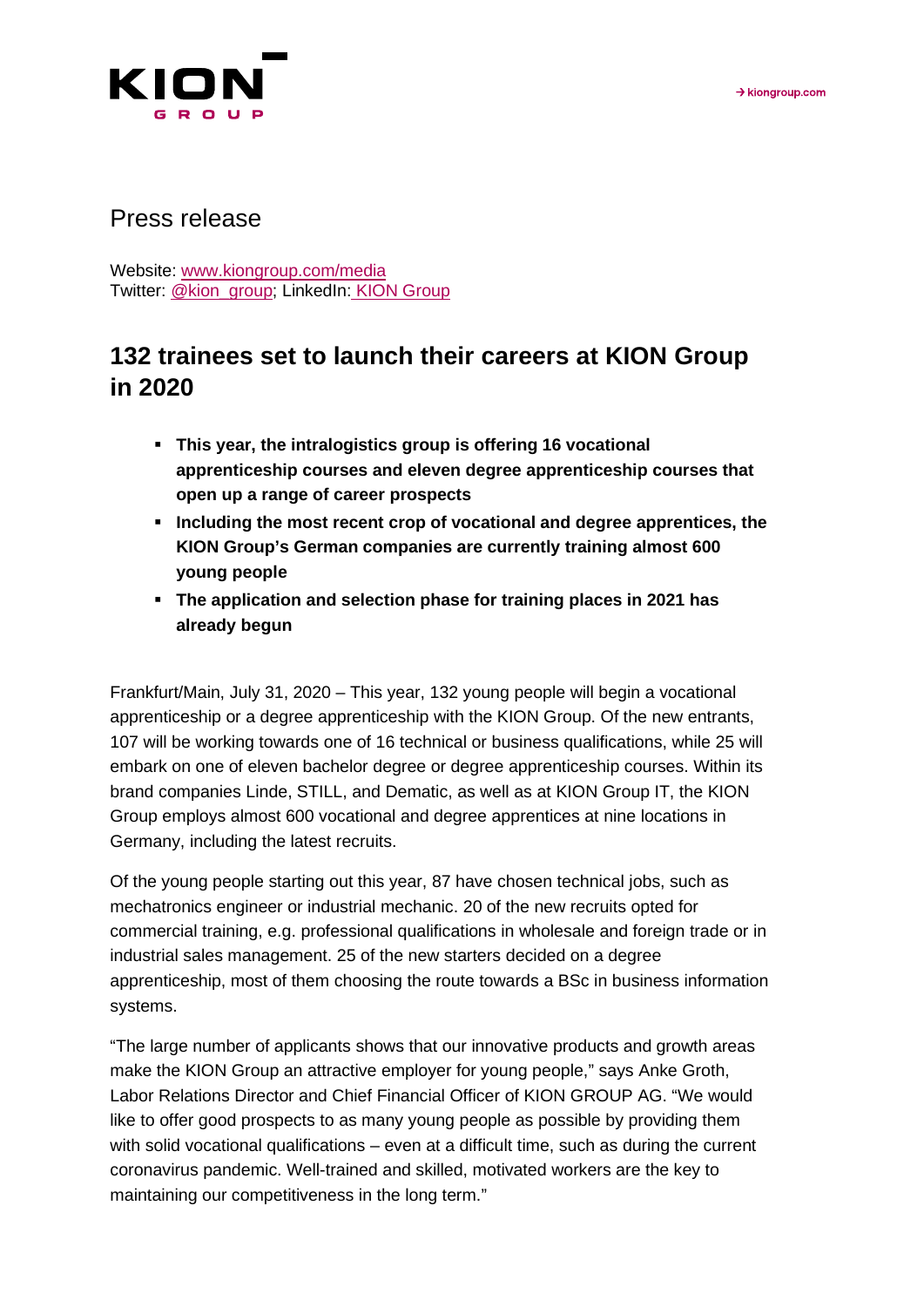

## Press release

Website: [www.kiongroup.com/media](https://eur02.safelinks.protection.outlook.com/?url=http%3A%2F%2Fwww.kiongroup.com%2Fmedien&data=02%7C01%7CRene.Glock%40kiongroup.com%7C5e5bca3a3f334aa363bd08d6ef4156b0%7C13c728e0bb0c4cf78e105b327279d6d9%7C0%7C0%7C636959461240940155&sdata=E%2F7x0JVsCnlmN%2FwK6dD47zlcjp5ATtEt%2Bc3xaggKZaI%3D&reserved=0) Twitter: [@kion\\_group;](https://twitter.com/kion_group) LinkedIn: KION Group

## **132 trainees set to launch their careers at KION Group in 2020**

- **This year, the intralogistics group is offering 16 vocational apprenticeship courses and eleven degree apprenticeship courses that open up a range of career prospects**
- **Including the most recent crop of vocational and degree apprentices, the KION Group's German companies are currently training almost 600 young people**
- **The application and selection phase for training places in 2021 has already begun**

Frankfurt/Main, July 31, 2020 – This year, 132 young people will begin a vocational apprenticeship or a degree apprenticeship with the KION Group. Of the new entrants, 107 will be working towards one of 16 technical or business qualifications, while 25 will embark on one of eleven bachelor degree or degree apprenticeship courses. Within its brand companies Linde, STILL, and Dematic, as well as at KION Group IT, the KION Group employs almost 600 vocational and degree apprentices at nine locations in Germany, including the latest recruits.

Of the young people starting out this year, 87 have chosen technical jobs, such as mechatronics engineer or industrial mechanic. 20 of the new recruits opted for commercial training, e.g. professional qualifications in wholesale and foreign trade or in industrial sales management. 25 of the new starters decided on a degree apprenticeship, most of them choosing the route towards a BSc in business information systems.

"The large number of applicants shows that our innovative products and growth areas make the KION Group an attractive employer for young people," says Anke Groth, Labor Relations Director and Chief Financial Officer of KION GROUP AG. "We would like to offer good prospects to as many young people as possible by providing them with solid vocational qualifications – even at a difficult time, such as during the current coronavirus pandemic. Well-trained and skilled, motivated workers are the key to maintaining our competitiveness in the long term."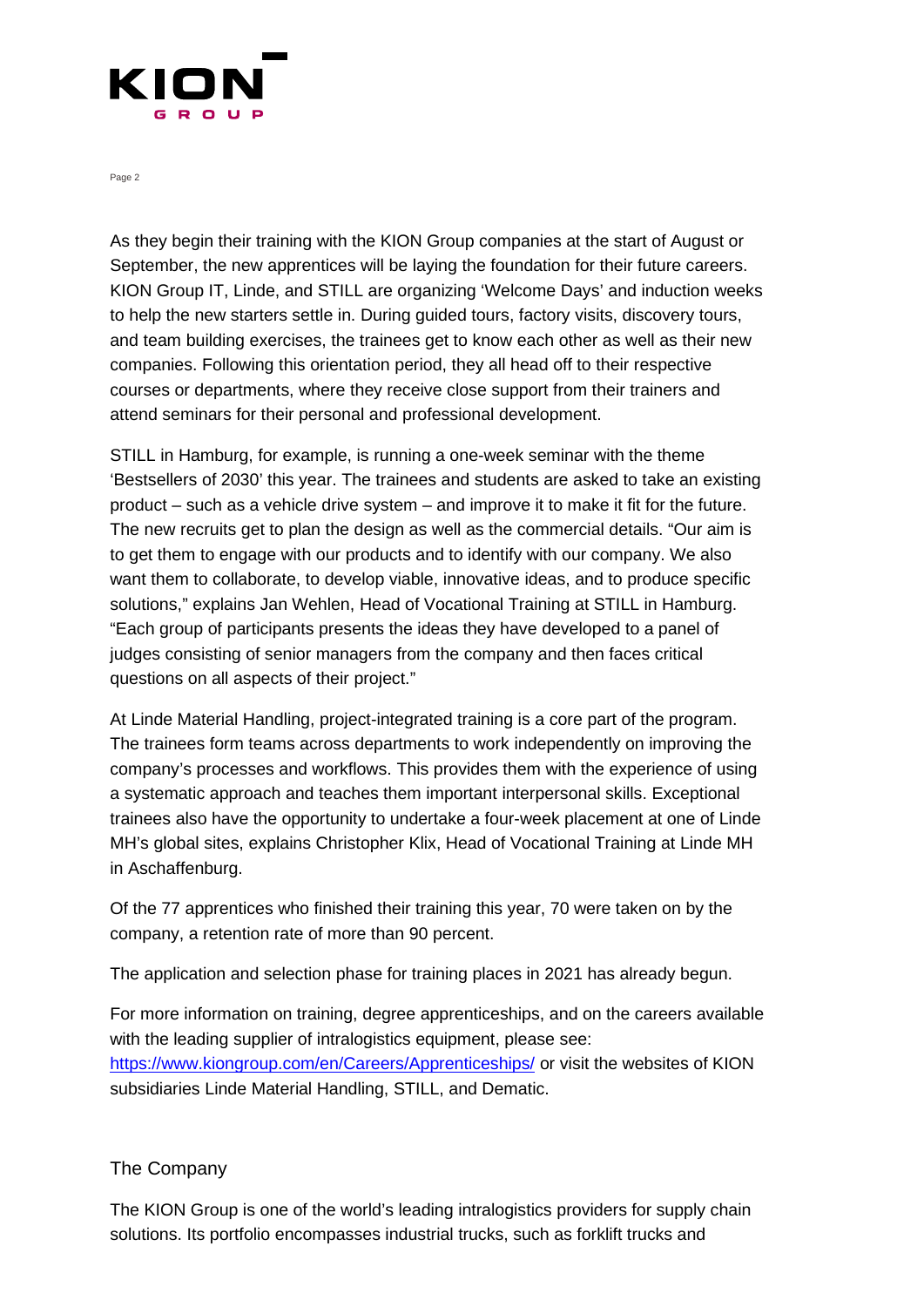

Page 2

As they begin their training with the KION Group companies at the start of August or September, the new apprentices will be laying the foundation for their future careers. KION Group IT, Linde, and STILL are organizing 'Welcome Days' and induction weeks to help the new starters settle in. During guided tours, factory visits, discovery tours, and team building exercises, the trainees get to know each other as well as their new companies. Following this orientation period, they all head off to their respective courses or departments, where they receive close support from their trainers and attend seminars for their personal and professional development.

STILL in Hamburg, for example, is running a one-week seminar with the theme 'Bestsellers of 2030' this year. The trainees and students are asked to take an existing product – such as a vehicle drive system – and improve it to make it fit for the future. The new recruits get to plan the design as well as the commercial details. "Our aim is to get them to engage with our products and to identify with our company. We also want them to collaborate, to develop viable, innovative ideas, and to produce specific solutions," explains Jan Wehlen, Head of Vocational Training at STILL in Hamburg. "Each group of participants presents the ideas they have developed to a panel of judges consisting of senior managers from the company and then faces critical questions on all aspects of their project."

At Linde Material Handling, project-integrated training is a core part of the program. The trainees form teams across departments to work independently on improving the company's processes and workflows. This provides them with the experience of using a systematic approach and teaches them important interpersonal skills. Exceptional trainees also have the opportunity to undertake a four-week placement at one of Linde MH's global sites, explains Christopher Klix, Head of Vocational Training at Linde MH in Aschaffenburg.

Of the 77 apprentices who finished their training this year, 70 were taken on by the company, a retention rate of more than 90 percent.

The application and selection phase for training places in 2021 has already begun.

For more information on training, degree apprenticeships, and on the careers available with the leading supplier of intralogistics equipment, please see: [https://www.kiongroup.com/en/Careers/Apprenticeships/](https://www.kiongroup.com/de/Karriere/Berufsausbildung/) or visit the websites of KION subsidiaries Linde Material Handling, STILL, and Dematic.

## The Company

The KION Group is one of the world's leading intralogistics providers for supply chain solutions. Its portfolio encompasses industrial trucks, such as forklift trucks and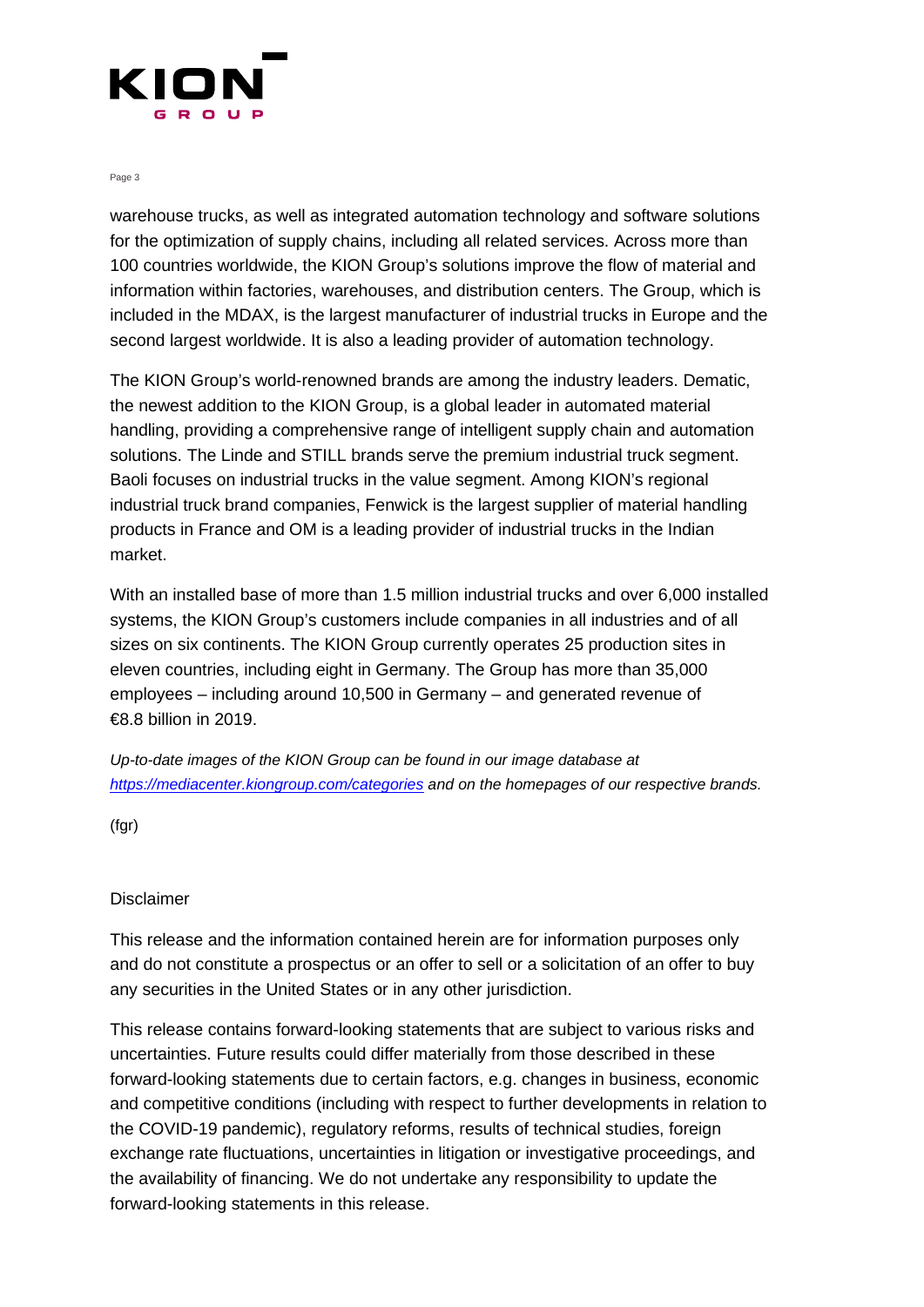

Page 3

warehouse trucks, as well as integrated automation technology and software solutions for the optimization of supply chains, including all related services. Across more than 100 countries worldwide, the KION Group's solutions improve the flow of material and information within factories, warehouses, and distribution centers. The Group, which is included in the MDAX, is the largest manufacturer of industrial trucks in Europe and the second largest worldwide. It is also a leading provider of automation technology.

The KION Group's world-renowned brands are among the industry leaders. Dematic, the newest addition to the KION Group, is a global leader in automated material handling, providing a comprehensive range of intelligent supply chain and automation solutions. The Linde and STILL brands serve the premium industrial truck segment. Baoli focuses on industrial trucks in the value segment. Among KION's regional industrial truck brand companies, Fenwick is the largest supplier of material handling products in France and OM is a leading provider of industrial trucks in the Indian market.

With an installed base of more than 1.5 million industrial trucks and over 6,000 installed systems, the KION Group's customers include companies in all industries and of all sizes on six continents. The KION Group currently operates 25 production sites in eleven countries, including eight in Germany. The Group has more than 35,000 employees – including around 10,500 in Germany – and generated revenue of €8.8 billion in 2019.

*Up-to-date images of the KION Group can be found in our image database at <https://mediacenter.kiongroup.com/categories> and on the homepages of our respective brands.*

(fgr)

## Disclaimer

This release and the information contained herein are for information purposes only and do not constitute a prospectus or an offer to sell or a solicitation of an offer to buy any securities in the United States or in any other jurisdiction.

This release contains forward-looking statements that are subject to various risks and uncertainties. Future results could differ materially from those described in these forward-looking statements due to certain factors, e.g. changes in business, economic and competitive conditions (including with respect to further developments in relation to the COVID-19 pandemic), regulatory reforms, results of technical studies, foreign exchange rate fluctuations, uncertainties in litigation or investigative proceedings, and the availability of financing. We do not undertake any responsibility to update the forward-looking statements in this release.